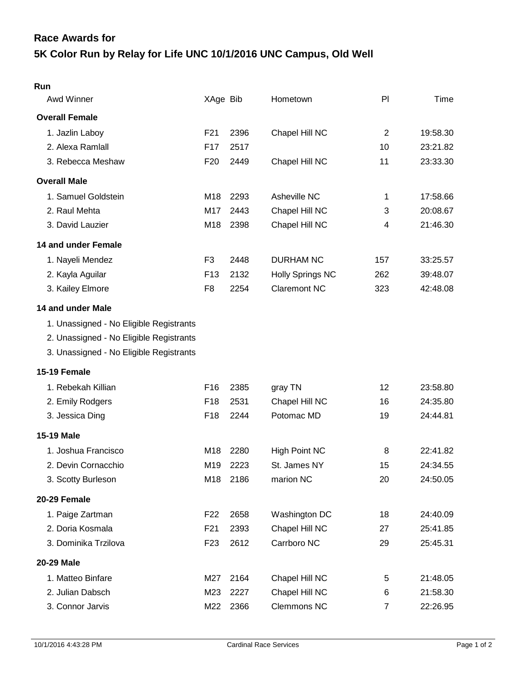## **5K Color Run by Relay for Life UNC 10/1/2016 UNC Campus, Old Well Race Awards for**

| Run                                     |                 |      |                         |                |          |
|-----------------------------------------|-----------------|------|-------------------------|----------------|----------|
| Awd Winner                              | XAge Bib        |      | Hometown                | PI             | Time     |
| <b>Overall Female</b>                   |                 |      |                         |                |          |
| 1. Jazlin Laboy                         | F21             | 2396 | Chapel Hill NC          | $\overline{2}$ | 19:58.30 |
| 2. Alexa Ramlall                        | F <sub>17</sub> | 2517 |                         | 10             | 23:21.82 |
| 3. Rebecca Meshaw                       | F <sub>20</sub> | 2449 | Chapel Hill NC          | 11             | 23:33.30 |
| <b>Overall Male</b>                     |                 |      |                         |                |          |
| 1. Samuel Goldstein                     | M <sub>18</sub> | 2293 | Asheville NC            | 1              | 17:58.66 |
| 2. Raul Mehta                           | M17             | 2443 | Chapel Hill NC          | 3              | 20:08.67 |
| 3. David Lauzier                        | M18             | 2398 | Chapel Hill NC          | 4              | 21:46.30 |
| 14 and under Female                     |                 |      |                         |                |          |
| 1. Nayeli Mendez                        | F <sub>3</sub>  | 2448 | <b>DURHAM NC</b>        | 157            | 33:25.57 |
| 2. Kayla Aguilar                        | F <sub>13</sub> | 2132 | <b>Holly Springs NC</b> | 262            | 39:48.07 |
| 3. Kailey Elmore                        | F <sub>8</sub>  | 2254 | <b>Claremont NC</b>     | 323            | 42:48.08 |
| 14 and under Male                       |                 |      |                         |                |          |
| 1. Unassigned - No Eligible Registrants |                 |      |                         |                |          |
| 2. Unassigned - No Eligible Registrants |                 |      |                         |                |          |
| 3. Unassigned - No Eligible Registrants |                 |      |                         |                |          |
| 15-19 Female                            |                 |      |                         |                |          |
| 1. Rebekah Killian                      | F16             | 2385 | gray TN                 | 12             | 23:58.80 |
| 2. Emily Rodgers                        | F18             | 2531 | Chapel Hill NC          | 16             | 24:35.80 |
| 3. Jessica Ding                         | F18             | 2244 | Potomac MD              | 19             | 24:44.81 |
| <b>15-19 Male</b>                       |                 |      |                         |                |          |
| 1. Joshua Francisco                     | M18             | 2280 | <b>High Point NC</b>    | 8              | 22:41.82 |
| 2. Devin Cornacchio                     | M <sub>19</sub> | 2223 | St. James NY            | 15             | 24:34.55 |
| 3. Scotty Burleson                      | M18             | 2186 | marion NC               | 20             | 24:50.05 |
| 20-29 Female                            |                 |      |                         |                |          |
| 1. Paige Zartman                        | F <sub>22</sub> | 2658 | Washington DC           | 18             | 24:40.09 |
| 2. Doria Kosmala                        | F21             | 2393 | Chapel Hill NC          | 27             | 25:41.85 |
| 3. Dominika Trzilova                    | F <sub>23</sub> | 2612 | Carrboro NC             | 29             | 25:45.31 |
| <b>20-29 Male</b>                       |                 |      |                         |                |          |
| 1. Matteo Binfare                       | M27             | 2164 | Chapel Hill NC          | 5              | 21:48.05 |
| 2. Julian Dabsch                        | M23             | 2227 | Chapel Hill NC          | 6              | 21:58.30 |
| 3. Connor Jarvis                        | M22             | 2366 | Clemmons NC             | $\overline{7}$ | 22:26.95 |